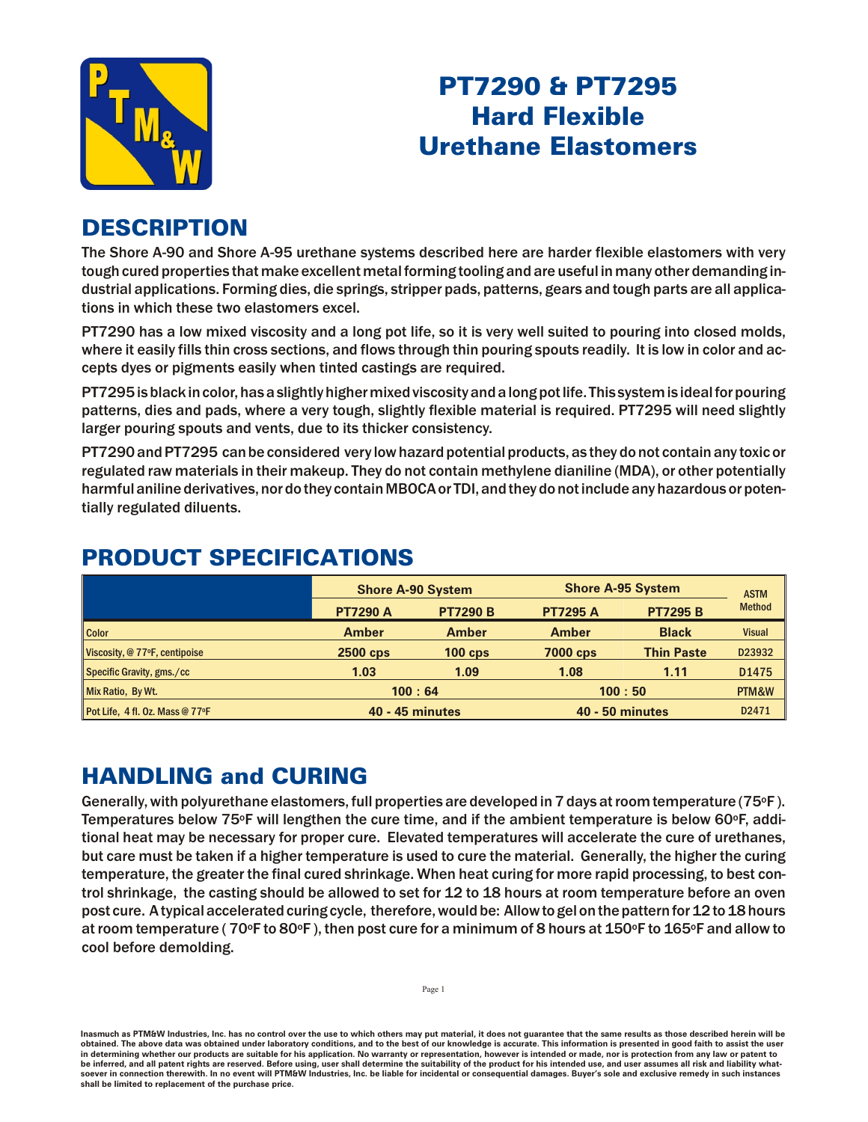

# PT7290 & PT7295 **Hard Flexible Urethane Elastomers**

### **DESCRIPTION**

The Shore A-90 and Shore A-95 urethane systems described here are harder flexible elastomers with very tough cured properties that make excellent metal forming tooling and are useful in many other demanding industrial applications. Forming dies, die springs, stripper pads, patterns, gears and tough parts are all applications in which these two elastomers excel.

PT7290 has a low mixed viscosity and a long pot life, so it is very well suited to pouring into closed molds, where it easily fills thin cross sections, and flows through thin pouring spouts readily. It is low in color and accepts dyes or pigments easily when tinted castings are required.

PT7295 is black in color, has a slightly higher mixed viscosity and a long pot life. This system is ideal for pouring patterns, dies and pads, where a very tough, slightly flexible material is required. PT7295 will need slightly larger pouring spouts and vents, due to its thicker consistency.

PT7290 and PT7295 can be considered very low hazard potential products, as they do not contain any toxic or regulated raw materials in their makeup. They do not contain methylene dianiline (MDA), or other potentially harm ful aniline derivatives, nor do they contain MBOCA or TDI, and they do not include any hazardous or potentially regulated diluents.

|                                 | <b>Shore A-90 System</b> |                 | <b>Shore A-95 System</b> |                   | <b>ASTM</b>   |
|---------------------------------|--------------------------|-----------------|--------------------------|-------------------|---------------|
|                                 | <b>PT7290 A</b>          | <b>PT7290 B</b> | <b>PT7295 A</b>          | <b>PT7295 B</b>   | <b>Method</b> |
| <b>Color</b>                    | <b>Amber</b>             | <b>Amber</b>    | <b>Amber</b>             | <b>Black</b>      | <b>Visual</b> |
| Viscosity, @ 77°F, centipoise   | 2500 cps                 | $100$ cps       | 7000 cps                 | <b>Thin Paste</b> | D23932        |
| Specific Gravity, gms./cc       | 1.03                     | 1.09            | 1.08                     | 1.11              | D1475         |
| Mix Ratio, By Wt.               | 100:64                   |                 | 100:50                   |                   | PTM&W         |
| Pot Life, 4 fl. Oz. Mass @ 77°F | <b>40 - 45 minutes</b>   |                 | <b>40 - 50 minutes</b>   |                   | D2471         |

### PRODUCT SPECIFICATIONS

# **HANDLING and CURING**

Generally, with polyurethane elastomers, full properties are developed in 7 days at room temperature (75 $\circ$ F). Tem per atures below 75 $\textdegree$ F will lengthen the cure time, and if the ambient tem per ature is below 60 $\textdegree$ F, additional heat may be necessary for proper cure. Elevated temperatures will accelerate the cure of urethanes, but care must be taken if a higher temperature is used to cure the material. Generally, the higher the curing tem perature, the greater the final cured shrinkage. When heat curing for more rapid processing, to best control shrinkage, the casting should be allowed to set for 12 to 18 hours at room temperature before an oven post cure. A typical accelerated curing cycle, therefore, would be: Allow to gel on the pattern for 12 to 18 hours at room temperature ( $70^{\circ}$ F to  $80^{\circ}$ F), then post cure for a minimum of 8 hours at 150 $^{\circ}$ F to 165 $^{\circ}$ F and allow to cool before demolding.

Inasmuch as PTM&W Industries, Inc. has no control over the use to which others may put material, it does not guarantee that the same results as those described herein will be obtained. The above data was obtained under laboratory conditions, and to the best of our knowledge is accurate. This information is presented in good faith to assist the user in determining whether our products are suitable for his application. No warranty or representation, however is intended or made, nor is protection from any law be inferred, and all patent rights are reserved. Before using, user shall determine the suitability of the product for his intended use, and user assumes all risk and liability whatsoever in connection therewith. In no event will PTM&W Industries, Inc. be liable for incidental or consequential damages. Buyer's sole and exclusive remedy in such instances shall be limited to replacement of the purchase price.